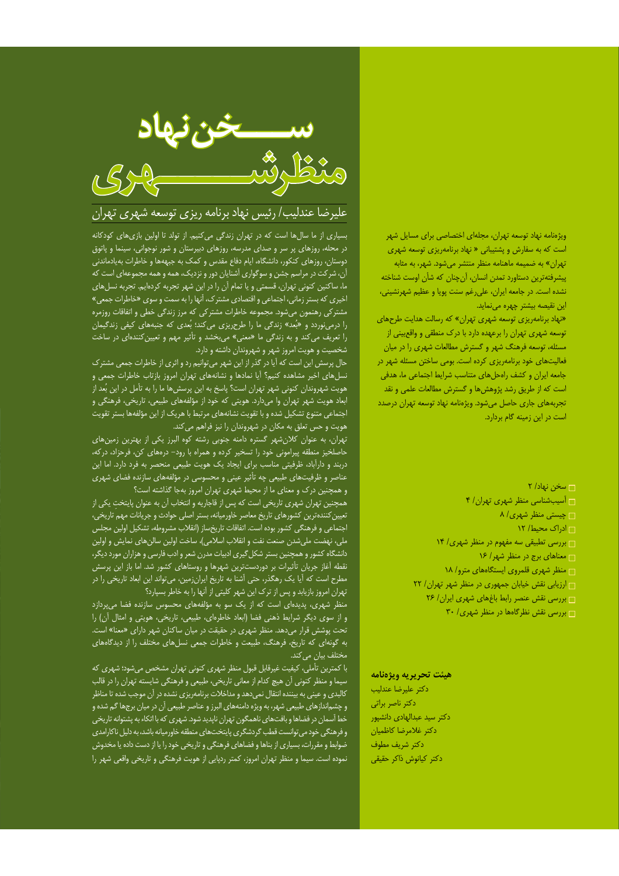## .<br>ویژهنامه نهاد توسعه تهران، مجلهای اختصاصی برای مسایل شهر است که به سفارش و پشتیبانی « نهاد برنامهریزی توسعه شهری تهران» به ضمیمه ماهنامه منظر منتشر میشود. شهر، به مثابه پیشرفتهترین دستاورد تمدن انسان، آنچنان که شأن اوست شناخته نشده است. در جامعه ایران، علی رغم سنت پویا و عظیم شهرنشینی، این نقیصه بیشتر چهره مینماید.

«نهاد برنامهریزی توسعه شهری تهران» که رسالت هدایت طرحهای توسعه شهری تهران را برعهده دارد با درک منطقی و واقعبینی از مسئله، توسعه فرهنگ شهر و گسترش مطالعات شهری را در میان فعالیتهای خود برنامهریزی کرده است. بومی ساختن مسئله شهر در جامعه ایران و کشف راهحلهای متناسب شرایط اجتماعی ما، هدفی است که از طریق رشد پژوهشها و گسترش مطالعات علمی و نقد تجربههای جاری حاصل میشود. ویژهنامه نهاد توسعه تهران درصدد است در این زمینه گام بردارد.

## □ سخن نهاد/ ٢

 $\mathfrak{f}$  اسیبشناسی منظر شهری تهران / ۴  $\wedge$  /حیستی منظر شهری □ ادراک محیط/ ١٢  $\frac{18}{2}$ ا بررسی تطبیقی سه مفهوم در منظر شهری/ ١۴  $\sqrt{2}$  معناهای برج در منظر شهر / ۱۶ ے منظر شهری قلمروی ایستگاههای مترو/ ١٨  $\overline{\mathsf{r}}$ ارزیابی نقش خیابان جمهوری در منظر شهر تهران / ٢٢  $\mathsf{Y}$ ا بررسی نقش عنصر رابط باغهای شهری ایران / ۲۶  $\mathsf{r}$ ۰ بررسی نقش نظرگاهها در منظر شهری/ ۳۰

## هيئت تحريريه ويژهنامه

دكتر عليرضا عندليب دكتر ناصر براتى دکتر سید عبدالهاد*ی* دانشپور دكتر غلامرضا كاظميان دكتر شريف مطوف دكتر كيانوش ذاكر حقيقى



## علیرضا عندلیب/ رئیس نهاد برنامه ریزی توسعه شهری تهران

بسیاری از ما سالها است که در تهران زندگی میکنیم. از تولد تا اولین بازیهای کودکانه در محله، روزهای پر سر و صدای مدرسه، روزهای دبیرستان و شور نوجوانی، سینما و پاتوق دوستان، روزهای کنکور، دانشگاه، ایام دفاع مقدس و کمک به جبههها و خاطرات بهیادماندنی .<br>ان، شرکت در مراسم جشن و سوگواری آشنایان دور و نزدیک، همه و همه مجموعهای است که ما، ساکنین کنونی تهران، قسمتی و یا تمام آن را در این شهر تجربه کردهایم. تجربه نسلهای اخیری که بستر زمانی، اجتماعی و اقتصادی مشترک، أنها را به سمت و سوی «خاطرات جمعی» مشترکی رهنمون میشود. مجموعه خاطرات مشترکی که مرز زندگی خطی و اتفاقات روزمره را درمینوردد و «بُعد» زندگی ما را طرحریزی میکند؛ بُعدی که جنبههای کیفی زندگیمان را تعریف میکند و به زندگی ما «معنی» میبخشد و تأثیر مهم و تعیینکنندهای در ساخت شخصیت و هویت امروز شهر و شهروندان داشته و دارد.

حال پرسش این است که آیا در گذر از این شهر میتوانیم رد و اثری از خاطرات جمعی مشترک نسلهای اخیر مشاهده کنیم؟ آیا نمادها و نشانههای تهران امروز بازتاب خاطرات جمعی و هویت شهروندان کنونی شهر تهران است؟ پاسخ به این پرسشها ما را به تأمل در این بُعد از ابعاد هویت شهر تهران وا میدارد. هویتی که خود از مؤلفههای طبیعی، تاریخی، فرهنگی و اجتماعی متنوع تشکیل شده و با تقویت نشانههای مرتبط با هریک از این مؤلفهها بستر تقویت هویت و حس تعلق به مکان در شهروندان را نیز فراهم می کند.

تهران، به عنوان كلانشهر گستره دامنه جنوبی رشته كوه البرز يكی از بهترين زمين های حاصلخیز منطقه پیرامونی خود را تسخیر کرده و همراه با رود- درههای کن، فرحزاد، درکه، دربند و دارآباد، ظرفیتی مناسب برای ایجاد یک هویت طبیعی منحصر به فرد دارد. اما این عناصر و ظرفیتهای طبیعی چه تأثیر عینی و محسوسی در مؤلفههای سازنده فضای شهری<br>و همچنین درک و معنای ما از محیط شهری تهران امروز بهجا گذاشته است؟

همچنین تهران شهری تاریخی است که پس از قاجاریه و انتخاب آن به عنوان پایتخت یکی از تعیین کنندهترین کشورهای تاریخ معاصر خاورمیانه، بستر اصلی حوادث و جریانات مهم تاریخی، اجتماعی و فرهنگی کشور بوده است. اتفاقات تاریخساز (انقلاب مشروطه، تشکیل اولین مجلس ملی، نهضت ملیشدن صنعت نفت و انقلاب اسلامی)، ساخت اولین سالنِهای نمایش و اولین دانشگاه کشور و همچنین بستر شکل گیری ادبیات مدرن شعر و ادب فارسی و هزاران مورد دیگر، نقطه آغاز جریان تأثیرات بر دوردستترین شهرها و روستاهای کشور شد. اما باز این پرسش مطرح است كه أيا يك رهگذر، حتى أشنا به تاريخ ايرانزمين، مي تواند اين ابعاد تاريخي را در تهران امروز بازیابد و پس از ترک این شهر کلیتی از آنها را به خاطر بسپارد؟

منظر شهری، پدیدهای است که از یک سو به مؤلفههای محسوس سازنده فضا میپردازد و از سوى ديگر شرايط ذهنى فضا (ابعاد خاطرهاى، طبيعى، تاريخى، هويتى و امثال أن) را تحت پوشش قرار میدهد. منظر شهری در حقیقت در میان ساکنان شهر دارای «معنا» است. به گونهای که تاریخ، فرهنگ، طبیعت و خاطرات جمعی نسلهای مختلف را از دیدگاههای مختلف بيان مي كند.

با کمترین تأملی، کیفیت غیرقابل قبول منظر شهری کنونی تهران مشخص میشود؛ شهری که سیما و منظر کنونی اَن هیچ کدام از معانی تاریخی، طبیعی و فرهنگی شایسته تهران را در قالب .<br>کالبدی و عینی به بیننده انتقال نمی دهد و مداخلات برنامهریزی نشده در آن موجب شده تا مناظر و چشم|ندازهای طبیعی شهر، به ویژه دامنههای البرز و عناصر طبیعی أن در میان برجها گم شده و خط آسمان در فضاها و بافتهای ناهمگون تهران ناپدید شود. شهری که با اتکاء به پشتوانه تاریخی و فرهنگی خود می توانست قطب گردشگری پایتختهای منطقه خاورمیانه باشد، به دلیل ناکارامدی ضوابط و مقررات، بسیاری از بناها و فضاهای فرهنگی و تاریخی خود را یا از دست داده یا مخدوش نموده است. سیما و منظر تهران امروز، کمتر ردپایی از هویت فرهنگی و تاریخی واقعی شهر را